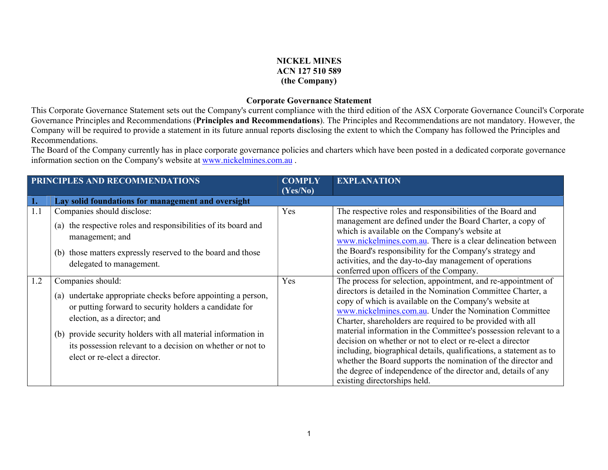## NICKEL MINES ACN 127 510 589 (the Company)

## Corporate Governance Statement

This Corporate Governance Statement sets out the Company's current compliance with the third edition of the ASX Corporate Governance Council's Corporate Governance Principles and Recommendations (Principles and Recommendations). The Principles and Recommendations are not mandatory. However, the Company will be required to provide a statement in its future annual reports disclosing the extent to which the Company has followed the Principles and Recommendations.

The Board of the Company currently has in place corporate governance policies and charters which have been posted in a dedicated corporate governance information section on the Company's website at www.nickelmines.com.au .

| PRINCIPLES AND RECOMMENDATIONS |                                                                                                                                                                                                                                                                                                                                             | <b>COMPLY</b><br>(Yes/No) | <b>EXPLANATION</b>                                                                                                                                                                                                                                                                                                                                                                                                                                                                                                                                                                                                                                                                         |
|--------------------------------|---------------------------------------------------------------------------------------------------------------------------------------------------------------------------------------------------------------------------------------------------------------------------------------------------------------------------------------------|---------------------------|--------------------------------------------------------------------------------------------------------------------------------------------------------------------------------------------------------------------------------------------------------------------------------------------------------------------------------------------------------------------------------------------------------------------------------------------------------------------------------------------------------------------------------------------------------------------------------------------------------------------------------------------------------------------------------------------|
| 1.                             | Lay solid foundations for management and oversight                                                                                                                                                                                                                                                                                          |                           |                                                                                                                                                                                                                                                                                                                                                                                                                                                                                                                                                                                                                                                                                            |
| 1.1                            | Companies should disclose:<br>(a) the respective roles and responsibilities of its board and<br>management; and<br>(b) those matters expressly reserved to the board and those<br>delegated to management.                                                                                                                                  | Yes                       | The respective roles and responsibilities of the Board and<br>management are defined under the Board Charter, a copy of<br>which is available on the Company's website at<br>www.nickelmines.com.au. There is a clear delineation between<br>the Board's responsibility for the Company's strategy and<br>activities, and the day-to-day management of operations<br>conferred upon officers of the Company.                                                                                                                                                                                                                                                                               |
| 1.2                            | Companies should:<br>(a) undertake appropriate checks before appointing a person,<br>or putting forward to security holders a candidate for<br>election, as a director; and<br>(b) provide security holders with all material information in<br>its possession relevant to a decision on whether or not to<br>elect or re-elect a director. | Yes                       | The process for selection, appointment, and re-appointment of<br>directors is detailed in the Nomination Committee Charter, a<br>copy of which is available on the Company's website at<br>www.nickelmines.com.au. Under the Nomination Committee<br>Charter, shareholders are required to be provided with all<br>material information in the Committee's possession relevant to a<br>decision on whether or not to elect or re-elect a director<br>including, biographical details, qualifications, a statement as to<br>whether the Board supports the nomination of the director and<br>the degree of independence of the director and, details of any<br>existing directorships held. |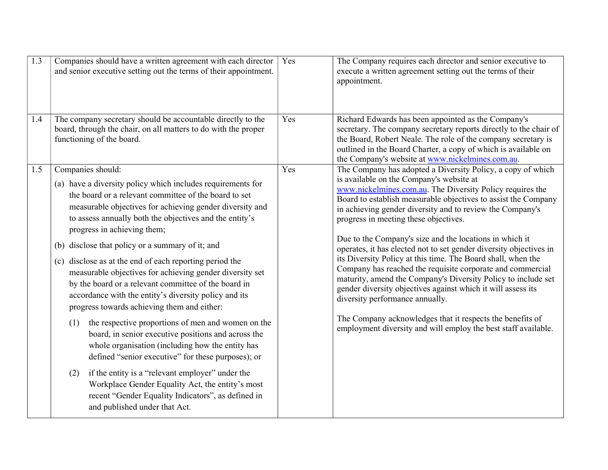| $\overline{1.3}$ | Companies should have a written agreement with each director<br>and senior executive setting out the terms of their appointment.                                                                                                                                                                                                                                                                                                                                                                                                                                                                                                                                                                                                                                                                                                                                                                                                                                                                                                                                               | Yes | The Company requires each director and senior executive to<br>execute a written agreement setting out the terms of their<br>appointment.                                                                                                                                                                                                                                                                                                                                                                                                                                                                                                                                                                                                                                                                                                                                                                       |
|------------------|--------------------------------------------------------------------------------------------------------------------------------------------------------------------------------------------------------------------------------------------------------------------------------------------------------------------------------------------------------------------------------------------------------------------------------------------------------------------------------------------------------------------------------------------------------------------------------------------------------------------------------------------------------------------------------------------------------------------------------------------------------------------------------------------------------------------------------------------------------------------------------------------------------------------------------------------------------------------------------------------------------------------------------------------------------------------------------|-----|----------------------------------------------------------------------------------------------------------------------------------------------------------------------------------------------------------------------------------------------------------------------------------------------------------------------------------------------------------------------------------------------------------------------------------------------------------------------------------------------------------------------------------------------------------------------------------------------------------------------------------------------------------------------------------------------------------------------------------------------------------------------------------------------------------------------------------------------------------------------------------------------------------------|
| 1.4              | The company secretary should be accountable directly to the<br>board, through the chair, on all matters to do with the proper<br>functioning of the board.                                                                                                                                                                                                                                                                                                                                                                                                                                                                                                                                                                                                                                                                                                                                                                                                                                                                                                                     | Yes | Richard Edwards has been appointed as the Company's<br>secretary. The company secretary reports directly to the chair of<br>the Board, Robert Neale. The role of the company secretary is<br>outlined in the Board Charter, a copy of which is available on<br>the Company's website at www.nickelmines.com.au.                                                                                                                                                                                                                                                                                                                                                                                                                                                                                                                                                                                                |
| 1.5              | Companies should:<br>(a) have a diversity policy which includes requirements for<br>the board or a relevant committee of the board to set<br>measurable objectives for achieving gender diversity and<br>to assess annually both the objectives and the entity's<br>progress in achieving them;<br>(b) disclose that policy or a summary of it; and<br>(c) disclose as at the end of each reporting period the<br>measurable objectives for achieving gender diversity set<br>by the board or a relevant committee of the board in<br>accordance with the entity's diversity policy and its<br>progress towards achieving them and either:<br>the respective proportions of men and women on the<br>(1)<br>board, in senior executive positions and across the<br>whole organisation (including how the entity has<br>defined "senior executive" for these purposes); or<br>if the entity is a "relevant employer" under the<br>(2)<br>Workplace Gender Equality Act, the entity's most<br>recent "Gender Equality Indicators", as defined in<br>and published under that Act. | Yes | The Company has adopted a Diversity Policy, a copy of which<br>is available on the Company's website at<br>www.nickelmines.com.au. The Diversity Policy requires the<br>Board to establish measurable objectives to assist the Company<br>in achieving gender diversity and to review the Company's<br>progress in meeting these objectives.<br>Due to the Company's size and the locations in which it<br>operates, it has elected not to set gender diversity objectives in<br>its Diversity Policy at this time. The Board shall, when the<br>Company has reached the requisite corporate and commercial<br>maturity, amend the Company's Diversity Policy to include set<br>gender diversity objectives against which it will assess its<br>diversity performance annually.<br>The Company acknowledges that it respects the benefits of<br>employment diversity and will employ the best staff available. |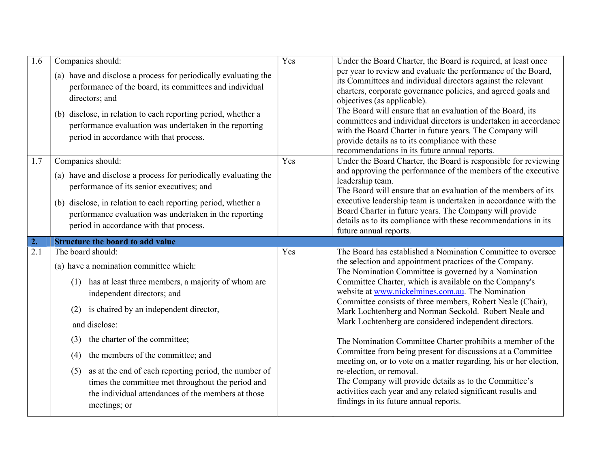| 1.6 | Companies should:<br>(a) have and disclose a process for periodically evaluating the<br>performance of the board, its committees and individual<br>directors; and<br>(b) disclose, in relation to each reporting period, whether a<br>performance evaluation was undertaken in the reporting<br>period in accordance with that process.                                                                                                                                                                 | Yes | Under the Board Charter, the Board is required, at least once<br>per year to review and evaluate the performance of the Board,<br>its Committees and individual directors against the relevant<br>charters, corporate governance policies, and agreed goals and<br>objectives (as applicable).<br>The Board will ensure that an evaluation of the Board, its<br>committees and individual directors is undertaken in accordance<br>with the Board Charter in future years. The Company will<br>provide details as to its compliance with these<br>recommendations in its future annual reports.                                                                                                                                                                                                                                                                                   |
|-----|---------------------------------------------------------------------------------------------------------------------------------------------------------------------------------------------------------------------------------------------------------------------------------------------------------------------------------------------------------------------------------------------------------------------------------------------------------------------------------------------------------|-----|-----------------------------------------------------------------------------------------------------------------------------------------------------------------------------------------------------------------------------------------------------------------------------------------------------------------------------------------------------------------------------------------------------------------------------------------------------------------------------------------------------------------------------------------------------------------------------------------------------------------------------------------------------------------------------------------------------------------------------------------------------------------------------------------------------------------------------------------------------------------------------------|
| 1.7 | Companies should:<br>(a) have and disclose a process for periodically evaluating the<br>performance of its senior executives; and<br>(b) disclose, in relation to each reporting period, whether a<br>performance evaluation was undertaken in the reporting<br>period in accordance with that process.                                                                                                                                                                                                 | Yes | Under the Board Charter, the Board is responsible for reviewing<br>and approving the performance of the members of the executive<br>leadership team.<br>The Board will ensure that an evaluation of the members of its<br>executive leadership team is undertaken in accordance with the<br>Board Charter in future years. The Company will provide<br>details as to its compliance with these recommendations in its<br>future annual reports.                                                                                                                                                                                                                                                                                                                                                                                                                                   |
| 2.  | <b>Structure the board to add value</b>                                                                                                                                                                                                                                                                                                                                                                                                                                                                 |     |                                                                                                                                                                                                                                                                                                                                                                                                                                                                                                                                                                                                                                                                                                                                                                                                                                                                                   |
| 2.1 | The board should:<br>(a) have a nomination committee which:<br>has at least three members, a majority of whom are<br>(1)<br>independent directors; and<br>is chaired by an independent director,<br>(2)<br>and disclose:<br>the charter of the committee;<br>(3)<br>the members of the committee; and<br>(4)<br>as at the end of each reporting period, the number of<br>(5)<br>times the committee met throughout the period and<br>the individual attendances of the members at those<br>meetings; or | Yes | The Board has established a Nomination Committee to oversee<br>the selection and appointment practices of the Company.<br>The Nomination Committee is governed by a Nomination<br>Committee Charter, which is available on the Company's<br>website at www.nickelmines.com.au. The Nomination<br>Committee consists of three members, Robert Neale (Chair),<br>Mark Lochtenberg and Norman Seckold. Robert Neale and<br>Mark Lochtenberg are considered independent directors.<br>The Nomination Committee Charter prohibits a member of the<br>Committee from being present for discussions at a Committee<br>meeting on, or to vote on a matter regarding, his or her election,<br>re-election, or removal.<br>The Company will provide details as to the Committee's<br>activities each year and any related significant results and<br>findings in its future annual reports. |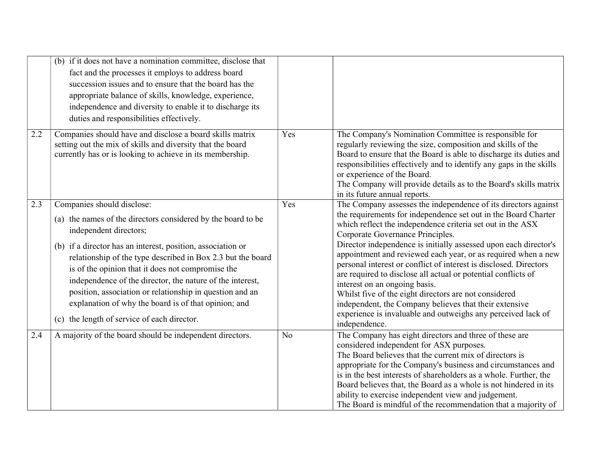|     | (b) if it does not have a nomination committee, disclose that<br>fact and the processes it employs to address board<br>succession issues and to ensure that the board has the<br>appropriate balance of skills, knowledge, experience,<br>independence and diversity to enable it to discharge its<br>duties and responsibilities effectively.                                                                                                                                                                                          |     |                                                                                                                                                                                                                                                                                                                                                                                                                                                                                                                                                                                                                                                                                                                                                    |
|-----|-----------------------------------------------------------------------------------------------------------------------------------------------------------------------------------------------------------------------------------------------------------------------------------------------------------------------------------------------------------------------------------------------------------------------------------------------------------------------------------------------------------------------------------------|-----|----------------------------------------------------------------------------------------------------------------------------------------------------------------------------------------------------------------------------------------------------------------------------------------------------------------------------------------------------------------------------------------------------------------------------------------------------------------------------------------------------------------------------------------------------------------------------------------------------------------------------------------------------------------------------------------------------------------------------------------------------|
| 2.2 | Companies should have and disclose a board skills matrix<br>setting out the mix of skills and diversity that the board<br>currently has or is looking to achieve in its membership.                                                                                                                                                                                                                                                                                                                                                     | Yes | The Company's Nomination Committee is responsible for<br>regularly reviewing the size, composition and skills of the<br>Board to ensure that the Board is able to discharge its duties and<br>responsibilities effectively and to identify any gaps in the skills<br>or experience of the Board.<br>The Company will provide details as to the Board's skills matrix<br>in its future annual reports.                                                                                                                                                                                                                                                                                                                                              |
| 2.3 | Companies should disclose:<br>(a) the names of the directors considered by the board to be<br>independent directors;<br>(b) if a director has an interest, position, association or<br>relationship of the type described in Box 2.3 but the board<br>is of the opinion that it does not compromise the<br>independence of the director, the nature of the interest,<br>position, association or relationship in question and an<br>explanation of why the board is of that opinion; and<br>(c) the length of service of each director. | Yes | The Company assesses the independence of its directors against<br>the requirements for independence set out in the Board Charter<br>which reflect the independence criteria set out in the ASX<br>Corporate Governance Principles.<br>Director independence is initially assessed upon each director's<br>appointment and reviewed each year, or as required when a new<br>personal interest or conflict of interest is disclosed. Directors<br>are required to disclose all actual or potential conflicts of<br>interest on an ongoing basis.<br>Whilst five of the eight directors are not considered<br>independent, the Company believes that their extensive<br>experience is invaluable and outweighs any perceived lack of<br>independence. |
| 2.4 | A majority of the board should be independent directors.                                                                                                                                                                                                                                                                                                                                                                                                                                                                                | No  | The Company has eight directors and three of these are<br>considered independent for ASX purposes.<br>The Board believes that the current mix of directors is<br>appropriate for the Company's business and circumstances and<br>is in the best interests of shareholders as a whole. Further, the<br>Board believes that, the Board as a whole is not hindered in its<br>ability to exercise independent view and judgement.<br>The Board is mindful of the recommendation that a majority of                                                                                                                                                                                                                                                     |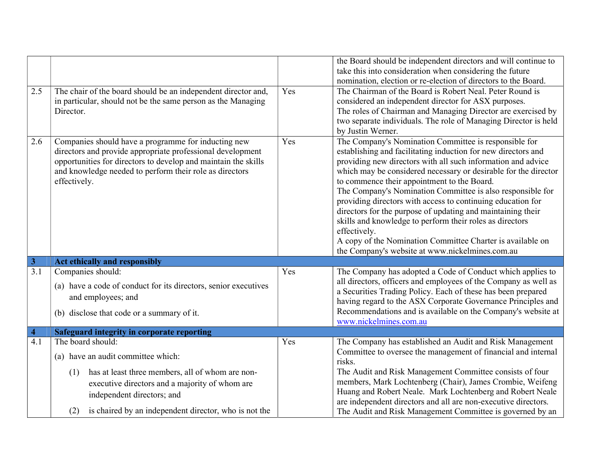|                         |                                                                 |     | the Board should be independent directors and will continue to                                                              |
|-------------------------|-----------------------------------------------------------------|-----|-----------------------------------------------------------------------------------------------------------------------------|
|                         |                                                                 |     | take this into consideration when considering the future                                                                    |
|                         |                                                                 |     | nomination, election or re-election of directors to the Board.                                                              |
| 2.5                     | The chair of the board should be an independent director and,   | Yes | The Chairman of the Board is Robert Neal. Peter Round is                                                                    |
|                         | in particular, should not be the same person as the Managing    |     | considered an independent director for ASX purposes.                                                                        |
|                         | Director.                                                       |     | The roles of Chairman and Managing Director are exercised by                                                                |
|                         |                                                                 |     | two separate individuals. The role of Managing Director is held                                                             |
|                         |                                                                 |     | by Justin Werner.                                                                                                           |
| 2.6                     | Companies should have a programme for inducting new             | Yes | The Company's Nomination Committee is responsible for                                                                       |
|                         | directors and provide appropriate professional development      |     | establishing and facilitating induction for new directors and                                                               |
|                         | opportunities for directors to develop and maintain the skills  |     | providing new directors with all such information and advice                                                                |
|                         | and knowledge needed to perform their role as directors         |     | which may be considered necessary or desirable for the director                                                             |
|                         | effectively.                                                    |     | to commence their appointment to the Board.                                                                                 |
|                         |                                                                 |     | The Company's Nomination Committee is also responsible for                                                                  |
|                         |                                                                 |     | providing directors with access to continuing education for                                                                 |
|                         |                                                                 |     | directors for the purpose of updating and maintaining their                                                                 |
|                         |                                                                 |     | skills and knowledge to perform their roles as directors                                                                    |
|                         |                                                                 |     | effectively.                                                                                                                |
|                         |                                                                 |     | A copy of the Nomination Committee Charter is available on                                                                  |
|                         |                                                                 |     | the Company's website at www.nickelmines.com.au                                                                             |
| $\overline{\mathbf{3}}$ | Act ethically and responsibly                                   |     |                                                                                                                             |
| 3.1                     | Companies should:                                               | Yes | The Company has adopted a Code of Conduct which applies to                                                                  |
|                         | (a) have a code of conduct for its directors, senior executives |     | all directors, officers and employees of the Company as well as                                                             |
|                         | and employees; and                                              |     | a Securities Trading Policy. Each of these has been prepared                                                                |
|                         |                                                                 |     | having regard to the ASX Corporate Governance Principles and                                                                |
|                         | (b) disclose that code or a summary of it.                      |     | Recommendations and is available on the Company's website at                                                                |
|                         |                                                                 |     | www.nickelmines.com.au                                                                                                      |
|                         |                                                                 |     |                                                                                                                             |
| $\overline{\mathbf{4}}$ | <b>Safeguard integrity in corporate reporting</b>               |     |                                                                                                                             |
| $\overline{4.1}$        | The board should:                                               | Yes | The Company has established an Audit and Risk Management                                                                    |
|                         | (a) have an audit committee which:                              |     | Committee to oversee the management of financial and internal                                                               |
|                         |                                                                 |     | risks.                                                                                                                      |
|                         | has at least three members, all of whom are non-<br>(1)         |     | The Audit and Risk Management Committee consists of four                                                                    |
|                         | executive directors and a majority of whom are                  |     | members, Mark Lochtenberg (Chair), James Crombie, Weifeng                                                                   |
|                         | independent directors; and                                      |     | Huang and Robert Neale. Mark Lochtenberg and Robert Neale                                                                   |
|                         | is chaired by an independent director, who is not the<br>(2)    |     | are independent directors and all are non-executive directors.<br>The Audit and Risk Management Committee is governed by an |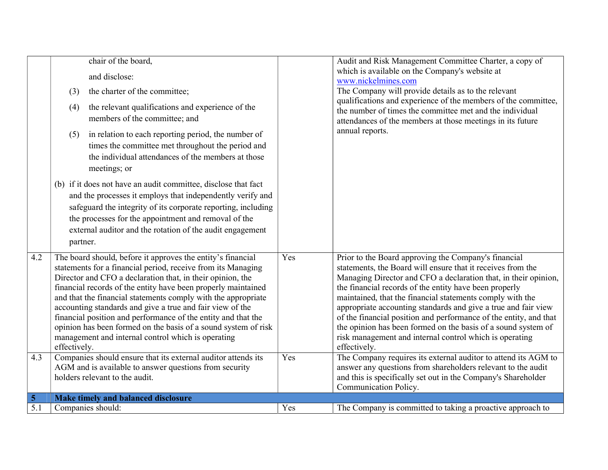|                         | chair of the board,<br>and disclose:<br>the charter of the committee;<br>(3)<br>the relevant qualifications and experience of the<br>(4)<br>members of the committee; and<br>in relation to each reporting period, the number of<br>(5)<br>times the committee met throughout the period and<br>the individual attendances of the members at those<br>meetings; or<br>(b) if it does not have an audit committee, disclose that fact<br>and the processes it employs that independently verify and<br>safeguard the integrity of its corporate reporting, including<br>the processes for the appointment and removal of the<br>external auditor and the rotation of the audit engagement<br>partner.                                                           |            | Audit and Risk Management Committee Charter, a copy of<br>which is available on the Company's website at<br>www.nickelmines.com<br>The Company will provide details as to the relevant<br>qualifications and experience of the members of the committee,<br>the number of times the committee met and the individual<br>attendances of the members at those meetings in its future<br>annual reports.                                                                                                                                                                                                                                                                                                                              |
|-------------------------|----------------------------------------------------------------------------------------------------------------------------------------------------------------------------------------------------------------------------------------------------------------------------------------------------------------------------------------------------------------------------------------------------------------------------------------------------------------------------------------------------------------------------------------------------------------------------------------------------------------------------------------------------------------------------------------------------------------------------------------------------------------|------------|------------------------------------------------------------------------------------------------------------------------------------------------------------------------------------------------------------------------------------------------------------------------------------------------------------------------------------------------------------------------------------------------------------------------------------------------------------------------------------------------------------------------------------------------------------------------------------------------------------------------------------------------------------------------------------------------------------------------------------|
| 4.2<br>4.3              | The board should, before it approves the entity's financial<br>statements for a financial period, receive from its Managing<br>Director and CFO a declaration that, in their opinion, the<br>financial records of the entity have been properly maintained<br>and that the financial statements comply with the appropriate<br>accounting standards and give a true and fair view of the<br>financial position and performance of the entity and that the<br>opinion has been formed on the basis of a sound system of risk<br>management and internal control which is operating<br>effectively.<br>Companies should ensure that its external auditor attends its<br>AGM and is available to answer questions from security<br>holders relevant to the audit. | Yes<br>Yes | Prior to the Board approving the Company's financial<br>statements, the Board will ensure that it receives from the<br>Managing Director and CFO a declaration that, in their opinion,<br>the financial records of the entity have been properly<br>maintained, that the financial statements comply with the<br>appropriate accounting standards and give a true and fair view<br>of the financial position and performance of the entity, and that<br>the opinion has been formed on the basis of a sound system of<br>risk management and internal control which is operating<br>effectively.<br>The Company requires its external auditor to attend its AGM to<br>answer any questions from shareholders relevant to the audit |
|                         |                                                                                                                                                                                                                                                                                                                                                                                                                                                                                                                                                                                                                                                                                                                                                                |            | and this is specifically set out in the Company's Shareholder<br>Communication Policy.                                                                                                                                                                                                                                                                                                                                                                                                                                                                                                                                                                                                                                             |
| $\overline{\mathbf{5}}$ | Make timely and balanced disclosure                                                                                                                                                                                                                                                                                                                                                                                                                                                                                                                                                                                                                                                                                                                            |            |                                                                                                                                                                                                                                                                                                                                                                                                                                                                                                                                                                                                                                                                                                                                    |
| 5.1                     | Companies should:                                                                                                                                                                                                                                                                                                                                                                                                                                                                                                                                                                                                                                                                                                                                              | Yes        | The Company is committed to taking a proactive approach to                                                                                                                                                                                                                                                                                                                                                                                                                                                                                                                                                                                                                                                                         |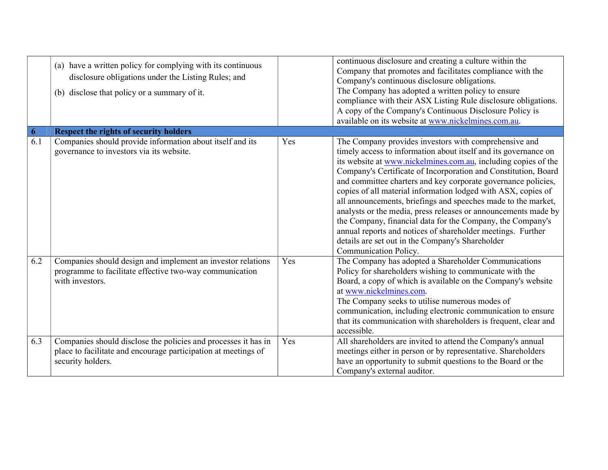|     | (a) have a written policy for complying with its continuous<br>disclosure obligations under the Listing Rules; and<br>(b) disclose that policy or a summary of it. |     | continuous disclosure and creating a culture within the<br>Company that promotes and facilitates compliance with the<br>Company's continuous disclosure obligations.<br>The Company has adopted a written policy to ensure<br>compliance with their ASX Listing Rule disclosure obligations.<br>A copy of the Company's Continuous Disclosure Policy is<br>available on its website at www.nickelmines.com.au.                                                                                                                                                                                                                                                                                                                              |
|-----|--------------------------------------------------------------------------------------------------------------------------------------------------------------------|-----|---------------------------------------------------------------------------------------------------------------------------------------------------------------------------------------------------------------------------------------------------------------------------------------------------------------------------------------------------------------------------------------------------------------------------------------------------------------------------------------------------------------------------------------------------------------------------------------------------------------------------------------------------------------------------------------------------------------------------------------------|
| 6   | <b>Respect the rights of security holders</b>                                                                                                                      |     |                                                                                                                                                                                                                                                                                                                                                                                                                                                                                                                                                                                                                                                                                                                                             |
| 6.1 | Companies should provide information about itself and its<br>governance to investors via its website.                                                              | Yes | The Company provides investors with comprehensive and<br>timely access to information about itself and its governance on<br>its website at www.nickelmines.com.au, including copies of the<br>Company's Certificate of Incorporation and Constitution, Board<br>and committee charters and key corporate governance policies,<br>copies of all material information lodged with ASX, copies of<br>all announcements, briefings and speeches made to the market,<br>analysts or the media, press releases or announcements made by<br>the Company, financial data for the Company, the Company's<br>annual reports and notices of shareholder meetings. Further<br>details are set out in the Company's Shareholder<br>Communication Policy. |
| 6.2 | Companies should design and implement an investor relations<br>programme to facilitate effective two-way communication<br>with investors.                          | Yes | The Company has adopted a Shareholder Communications<br>Policy for shareholders wishing to communicate with the<br>Board, a copy of which is available on the Company's website<br>at www.nickelmines.com.<br>The Company seeks to utilise numerous modes of<br>communication, including electronic communication to ensure<br>that its communication with shareholders is frequent, clear and<br>accessible.                                                                                                                                                                                                                                                                                                                               |
| 6.3 | Companies should disclose the policies and processes it has in<br>place to facilitate and encourage participation at meetings of<br>security holders.              | Yes | All shareholders are invited to attend the Company's annual<br>meetings either in person or by representative. Shareholders<br>have an opportunity to submit questions to the Board or the<br>Company's external auditor.                                                                                                                                                                                                                                                                                                                                                                                                                                                                                                                   |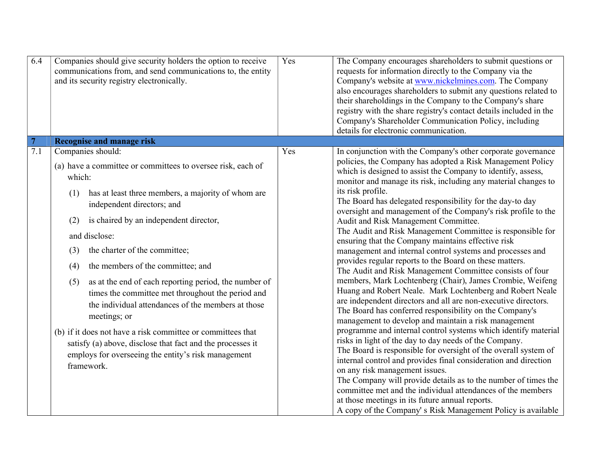| 6.4                   | Companies should give security holders the option to receive<br>communications from, and send communications to, the entity<br>and its security registry electronically.                       | Yes | The Company encourages shareholders to submit questions or<br>requests for information directly to the Company via the<br>Company's website at www.nickelmines.com. The Company<br>also encourages shareholders to submit any questions related to<br>their shareholdings in the Company to the Company's share<br>registry with the share registry's contact details included in the<br>Company's Shareholder Communication Policy, including<br>details for electronic communication.                                                             |
|-----------------------|------------------------------------------------------------------------------------------------------------------------------------------------------------------------------------------------|-----|-----------------------------------------------------------------------------------------------------------------------------------------------------------------------------------------------------------------------------------------------------------------------------------------------------------------------------------------------------------------------------------------------------------------------------------------------------------------------------------------------------------------------------------------------------|
| $\overline{7}$<br>7.1 | <b>Recognise and manage risk</b><br>Companies should:                                                                                                                                          | Yes | In conjunction with the Company's other corporate governance                                                                                                                                                                                                                                                                                                                                                                                                                                                                                        |
|                       | (a) have a committee or committees to oversee risk, each of<br>which:                                                                                                                          |     | policies, the Company has adopted a Risk Management Policy<br>which is designed to assist the Company to identify, assess,<br>monitor and manage its risk, including any material changes to                                                                                                                                                                                                                                                                                                                                                        |
|                       | has at least three members, a majority of whom are<br>(1)<br>independent directors; and                                                                                                        |     | its risk profile.<br>The Board has delegated responsibility for the day-to day                                                                                                                                                                                                                                                                                                                                                                                                                                                                      |
|                       | (2)<br>is chaired by an independent director,                                                                                                                                                  |     | oversight and management of the Company's risk profile to the<br>Audit and Risk Management Committee.                                                                                                                                                                                                                                                                                                                                                                                                                                               |
|                       | and disclose:                                                                                                                                                                                  |     | The Audit and Risk Management Committee is responsible for<br>ensuring that the Company maintains effective risk                                                                                                                                                                                                                                                                                                                                                                                                                                    |
|                       | the charter of the committee;<br>(3)<br>the members of the committee; and<br>(4)                                                                                                               |     | management and internal control systems and processes and<br>provides regular reports to the Board on these matters.                                                                                                                                                                                                                                                                                                                                                                                                                                |
|                       | as at the end of each reporting period, the number of<br>(5)<br>times the committee met throughout the period and<br>the individual attendances of the members at those<br>meetings; or        |     | The Audit and Risk Management Committee consists of four<br>members, Mark Lochtenberg (Chair), James Crombie, Weifeng<br>Huang and Robert Neale. Mark Lochtenberg and Robert Neale<br>are independent directors and all are non-executive directors.<br>The Board has conferred responsibility on the Company's<br>management to develop and maintain a risk management                                                                                                                                                                             |
|                       | (b) if it does not have a risk committee or committees that<br>satisfy (a) above, disclose that fact and the processes it<br>employs for overseeing the entity's risk management<br>framework. |     | programme and internal control systems which identify material<br>risks in light of the day to day needs of the Company.<br>The Board is responsible for oversight of the overall system of<br>internal control and provides final consideration and direction<br>on any risk management issues.<br>The Company will provide details as to the number of times the<br>committee met and the individual attendances of the members<br>at those meetings in its future annual reports.<br>A copy of the Company's Risk Management Policy is available |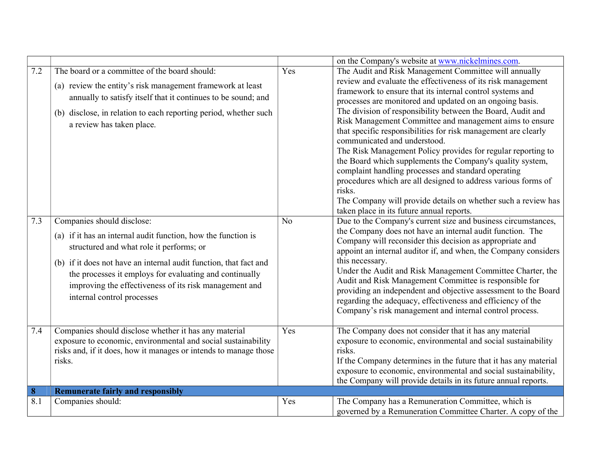|          |                                                                                                                                                                                                                                                                                                                                                                 |                | on the Company's website at www.nickelmines.com.                                                                                                                                                                                                                                                                                                                                                                                                                                                                                                                                                                                                                                                                                                                                                                                                        |
|----------|-----------------------------------------------------------------------------------------------------------------------------------------------------------------------------------------------------------------------------------------------------------------------------------------------------------------------------------------------------------------|----------------|---------------------------------------------------------------------------------------------------------------------------------------------------------------------------------------------------------------------------------------------------------------------------------------------------------------------------------------------------------------------------------------------------------------------------------------------------------------------------------------------------------------------------------------------------------------------------------------------------------------------------------------------------------------------------------------------------------------------------------------------------------------------------------------------------------------------------------------------------------|
| 7.2      | The board or a committee of the board should:<br>(a) review the entity's risk management framework at least<br>annually to satisfy itself that it continues to be sound; and<br>(b) disclose, in relation to each reporting period, whether such<br>a review has taken place.                                                                                   | Yes            | The Audit and Risk Management Committee will annually<br>review and evaluate the effectiveness of its risk management<br>framework to ensure that its internal control systems and<br>processes are monitored and updated on an ongoing basis.<br>The division of responsibility between the Board, Audit and<br>Risk Management Committee and management aims to ensure<br>that specific responsibilities for risk management are clearly<br>communicated and understood.<br>The Risk Management Policy provides for regular reporting to<br>the Board which supplements the Company's quality system,<br>complaint handling processes and standard operating<br>procedures which are all designed to address various forms of<br>risks.<br>The Company will provide details on whether such a review has<br>taken place in its future annual reports. |
| 7.3      | Companies should disclose:<br>(a) if it has an internal audit function, how the function is<br>structured and what role it performs; or<br>(b) if it does not have an internal audit function, that fact and<br>the processes it employs for evaluating and continually<br>improving the effectiveness of its risk management and<br>internal control processes | N <sub>o</sub> | Due to the Company's current size and business circumstances,<br>the Company does not have an internal audit function. The<br>Company will reconsider this decision as appropriate and<br>appoint an internal auditor if, and when, the Company considers<br>this necessary.<br>Under the Audit and Risk Management Committee Charter, the<br>Audit and Risk Management Committee is responsible for<br>providing an independent and objective assessment to the Board<br>regarding the adequacy, effectiveness and efficiency of the<br>Company's risk management and internal control process.                                                                                                                                                                                                                                                        |
| 7.4      | Companies should disclose whether it has any material<br>exposure to economic, environmental and social sustainability<br>risks and, if it does, how it manages or intends to manage those<br>risks.                                                                                                                                                            | Yes            | The Company does not consider that it has any material<br>exposure to economic, environmental and social sustainability<br>risks.<br>If the Company determines in the future that it has any material<br>exposure to economic, environmental and social sustainability,<br>the Company will provide details in its future annual reports.                                                                                                                                                                                                                                                                                                                                                                                                                                                                                                               |
| $\bf{8}$ | <b>Remunerate fairly and responsibly</b>                                                                                                                                                                                                                                                                                                                        |                |                                                                                                                                                                                                                                                                                                                                                                                                                                                                                                                                                                                                                                                                                                                                                                                                                                                         |
| 8.1      | Companies should:                                                                                                                                                                                                                                                                                                                                               | Yes            | The Company has a Remuneration Committee, which is<br>governed by a Remuneration Committee Charter. A copy of the                                                                                                                                                                                                                                                                                                                                                                                                                                                                                                                                                                                                                                                                                                                                       |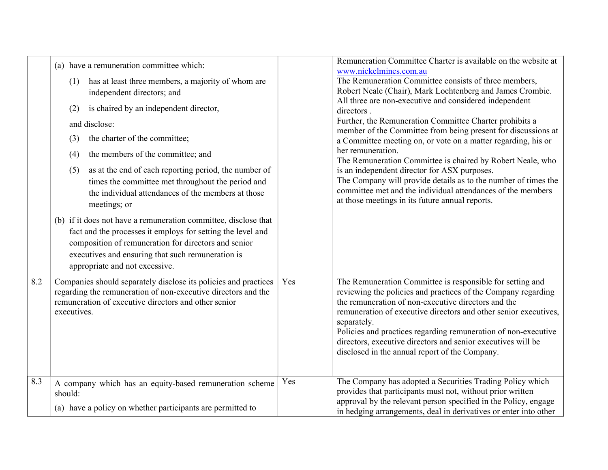|     | (a) have a remuneration committee which:<br>has at least three members, a majority of whom are<br>(1)<br>independent directors; and<br>is chaired by an independent director,<br>(2)<br>and disclose:<br>the charter of the committee;<br>(3)<br>the members of the committee; and<br>(4)<br>as at the end of each reporting period, the number of<br>(5)<br>times the committee met throughout the period and<br>the individual attendances of the members at those<br>meetings; or<br>(b) if it does not have a remuneration committee, disclose that<br>fact and the processes it employs for setting the level and<br>composition of remuneration for directors and senior<br>executives and ensuring that such remuneration is<br>appropriate and not excessive. |     | Remuneration Committee Charter is available on the website at<br>www.nickelmines.com.au<br>The Remuneration Committee consists of three members,<br>Robert Neale (Chair), Mark Lochtenberg and James Crombie.<br>All three are non-executive and considered independent<br>directors.<br>Further, the Remuneration Committee Charter prohibits a<br>member of the Committee from being present for discussions at<br>a Committee meeting on, or vote on a matter regarding, his or<br>her remuneration.<br>The Remuneration Committee is chaired by Robert Neale, who<br>is an independent director for ASX purposes.<br>The Company will provide details as to the number of times the<br>committee met and the individual attendances of the members<br>at those meetings in its future annual reports. |
|-----|-----------------------------------------------------------------------------------------------------------------------------------------------------------------------------------------------------------------------------------------------------------------------------------------------------------------------------------------------------------------------------------------------------------------------------------------------------------------------------------------------------------------------------------------------------------------------------------------------------------------------------------------------------------------------------------------------------------------------------------------------------------------------|-----|-----------------------------------------------------------------------------------------------------------------------------------------------------------------------------------------------------------------------------------------------------------------------------------------------------------------------------------------------------------------------------------------------------------------------------------------------------------------------------------------------------------------------------------------------------------------------------------------------------------------------------------------------------------------------------------------------------------------------------------------------------------------------------------------------------------|
| 8.2 | Companies should separately disclose its policies and practices<br>regarding the remuneration of non-executive directors and the<br>remuneration of executive directors and other senior<br>executives.                                                                                                                                                                                                                                                                                                                                                                                                                                                                                                                                                               | Yes | The Remuneration Committee is responsible for setting and<br>reviewing the policies and practices of the Company regarding<br>the remuneration of non-executive directors and the<br>remuneration of executive directors and other senior executives,<br>separately.<br>Policies and practices regarding remuneration of non-executive<br>directors, executive directors and senior executives will be<br>disclosed in the annual report of the Company.                                                                                                                                                                                                                                                                                                                                                  |
| 8.3 | A company which has an equity-based remuneration scheme<br>should:<br>(a) have a policy on whether participants are permitted to                                                                                                                                                                                                                                                                                                                                                                                                                                                                                                                                                                                                                                      | Yes | The Company has adopted a Securities Trading Policy which<br>provides that participants must not, without prior written<br>approval by the relevant person specified in the Policy, engage<br>in hedging arrangements, deal in derivatives or enter into other                                                                                                                                                                                                                                                                                                                                                                                                                                                                                                                                            |